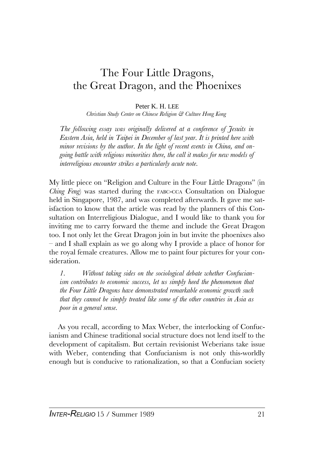## The Four Little Dragons, the Great Dragon, and the Phoenixes

## Peter K. H. LEE

*Christian Study Center on Chinese Religion & Culture Hong Kong*

*The following essay was originally delivered at a conference of Jesuits in Eastern Asia, held in Taipei in December of last year. It is printed here with minor revisions by the author. In the light of recent events in China, and ongoing battle with religious minorities there, the call it makes for new models of interreligious encounter strikes a particularly acute note.*

My little piece on "Religion and Culture in the Four Little Dragons" (in *Ching Feng*) was started during the FABC-CCA Consultation on Dialogue held in Singapore, 1987, and was completed afterwards. It gave me satisfaction to know that the article was read by the planners of this Consultation on Interreligious Dialogue, and I would like to thank you for inviting me to carry forward the theme and include the Great Dragon too. I not only let the Great Dragon join in but invite the phoenixes also – and I shall explain as we go along why I provide a place of honor for the royal female creatures. Allow me to paint four pictures for your consideration.

*1. Without taking sides on the sociological debate whether Confucianism contributes to economic success, let us simply heed the phenomenon that the Four Little Dragons have demonstrated remarkable economic growth such that they cannot be simply treated like some of the other countries in Asia as poor in a general sense.*

As you recall, according to Max Weber, the interlocking of Confucianism and Chinese traditional social structure does not lend itself to the development of capitalism. But certain revisionist Weberians take issue with Weber, contending that Confucianism is not only this-worldly enough but is conducive to rationalization, so that a Confucian society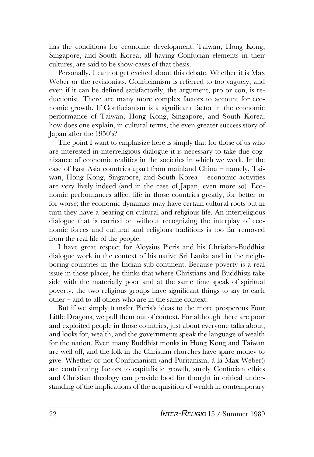has the conditions for economic development. Taiwan, Hong Kong, Singapore, and South Korea, all having Confucian elements in their cultures, are said to be show-cases of that thesis.

Personally, I cannot get excited about this debate. Whether it is Max Weber or the revisionists, Confucianism is referred to too vaguely, and even if it can be defined satisfactorily, the argument, pro or con, is reductionist. There are many more complex factors to account for economic growth. If Confucianism is a significant factor in the economic performance of Taiwan, Hong Kong, Singapore, and South Korea, how does one explain, in cultural terms, the even greater success story of Japan after the 1950's?

The point I want to emphasize here is simply that for those of us who are interested in interreligious dialogue it is necessary to take due cognizance of economic realities in the societies in which we work. In the case of East Asia countries apart from mainland China – namely, Taiwan, Hong Kong, Singapore, and South Korea – economic activities are very lively indeed (and in the case of Japan, even more so). Economic performances affect life in those countries greatly, for better or for worse; the economic dynamics may have certain cultural roots but in turn they have a bearing on cultural and religious life. An interreligious dialogue that is carried on without recognizing the interplay of economic forces and cultural and religious traditions is too far removed from the real life of the people.

I have great respect for Aloysius Pieris and his Christian-Buddhist dialogue work in the context of his native Sri Lanka and in the neighboring countries in the Indian sub-continent. Because poverty is a real issue in those places, he thinks that where Christians and Buddhists take side with the materially poor and at the same time speak of spiritual poverty, the two religious groups have significant things to say to each other – and to all others who are in the same context.

But if we simply transfer Pieris's ideas to the more prosperous Four Little Dragons, we pull them out of context. For although there are poor and exploited people in those countries, just about everyone talks about, and looks for, wealth, and the governments speak the language of wealth for the nation. Even many Buddhist monks in Hong Kong and Taiwan are well off, and the folk in the Christian churches have spare money to give. Whether or not Confucianism (and Puritanism, à la Max Weber!) are contributing factors to capitalistic growth, surely Confucian ethics and Christian theology can provide food for thought in critical understanding of the implications of the acquisition of wealth in contemporary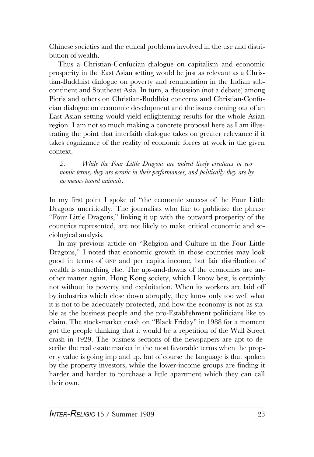Chinese societies and the ethical problems involved in the use and distribution of wealth.

Thus a Christian-Confucian dialogue on capitalism and economic prosperity in the East Asian setting would be just as relevant as a Christian-Buddhist dialogue on poverty and renunciation in the Indian subcontinent and Southeast Asia. In turn, a discussion (not a debate) among Pieris and others on Christian-Buddhist concerns and Christian-Confucian dialogue on economic development and the issues coming out of an East Asian setting would yield enlightening results for the whole Asian region. I am not so much making a concrete proposal here as I am illustrating the point that interfaith dialogue takes on greater relevance if it takes cognizance of the reality of economic forces at work in the given context.

*2. While the Four Little Dragons are indeed lively creatures in economic terms, they are erratic in their performances, and politically they are by no means tamed animals.*

In my first point I spoke of "the economic success of the Four Little Dragons uncritically. The journalists who like to publicize the phrase "Four Little Dragons," linking it up with the outward prosperity of the countries represented, are not likely to make critical economic and sociological analysis.

In my previous article on "Religion and Culture in the Four Little Dragons," I noted that economic growth in those countries may look good in terms of GNP and per capita income, but fair distribution of wealth is something else. The ups-and-downs of the economies are another matter again. Hong Kong society, which I know best, is certainly not without its poverty and exploitation. When its workers are laid off by industries which close down abruptly, they know only too well what it is not to be adequately protected, and how the economy is not as stable as the business people and the pro-Establishment politicians like to claim. The stock-market crash on "Black Friday" in 1988 for a moment got the people thinking that it would be a repetition of the Wall Street crash in 1929. The business sections of the newspapers are apt to describe the real estate market in the most favorable terms when the property value is going imp and up, but of course the language is that spoken by the property investors, while the lower-income groups are finding it harder and harder to purchase a little apartment which they can call their own.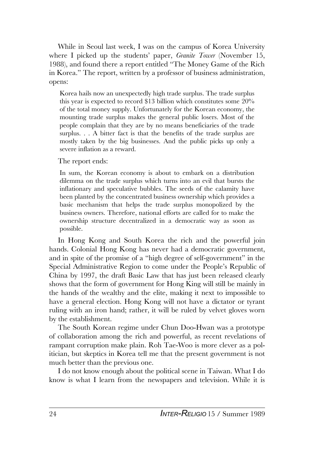While in Seoul last week, I was on the campus of Korea University where I picked up the students' paper, *Granite Tower* (November 15, 1988), and found there a report entitled "The Money Game of the Rich in Korea." The report, written by a professor of business administration, opens:

Korea hails now an unexpectedly high trade surplus. The trade surplus this year is expected to record \$13 billion which constitutes some 20% of the total money supply. Unfortunately for the Korean economy, the mounting trade surplus makes the general public losers. Most of the people complain that they are by no means beneficiaries of the trade surplus. . . A bitter fact is that the benefits of the trade surplus are mostly taken by the big businesses. And the public picks up only a severe inflation as a reward.

The report ends:

In sum, the Korean economy is about to embark on a distribution dilemma on the trade surplus which turns into an evil that bursts the inflationary and speculative bubbles. The seeds of the calamity have been planted by the concentrated business ownership which provides a basic mechanism that helps the trade surplus monopolized by the business owners. Therefore, national efforts are called for to make the ownership structure decentralized in a democratic way as soon as possible.

In Hong Kong and South Korea the rich and the powerful join hands. Colonial Hong Kong has never had a democratic government, and in spite of the promise of a "high degree of self-government" in the Special Administrative Region to come under the People's Republic of China by 1997, the draft Basic Law that has just been released clearly shows that the form of government for Hong King will still be mainly in the hands of the wealthy and the elite, making it next to impossible to have a general election. Hong Kong will not have a dictator or tyrant ruling with an iron hand; rather, it will be ruled by velvet gloves worn by the establishment.

The South Korean regime under Chun Doo-Hwan was a prototype of collaboration among the rich and powerful, as recent revelations of rampant corruption make plain. Roh Tae-Woo is more clever as a politician, but skeptics in Korea tell me that the present government is not much better than the previous one.

I do not know enough about the political scene in Taiwan. What I do know is what I learn from the newspapers and television. While it is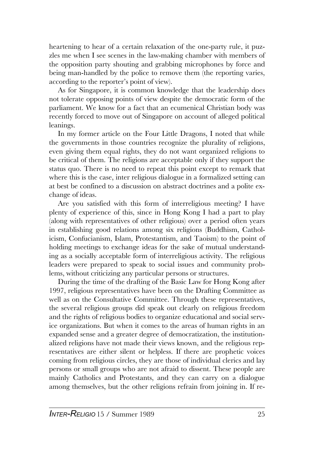heartening to hear of a certain relaxation of the one-party rule, it puzzles me when I see scenes in the law-making chamber with members of the opposition party shouting and grabbing microphones by force and being man-handled by the police to remove them (the reporting varies, according to the reporter's point of view).

As for Singapore, it is common knowledge that the leadership does not tolerate opposing points of view despite the democratic form of the parliament. We know for a fact that an ecumenical Christian body was recently forced to move out of Singapore on account of alleged political leanings.

In my former article on the Four Little Dragons, I noted that while the governments in those countries recognize the plurality of religions, even giving them equal rights, they do not want organized religions to be critical of them. The religions are acceptable only if they support the status quo. There is no need to repeat this point except to remark that where this is the case, inter religious dialogue in a formalized setting can at best be confined to a discussion on abstract doctrines and a polite exchange of ideas.

Are you satisfied with this form of interreligious meeting? I have plenty of experience of this, since in Hong Kong I had a part to play (along with representatives of other religious) over a period often years in establishing good relations among six religions (Buddhism, Catholicism, Confucianism, Islam, Protestantism, and Taoism) to the point of holding meetings to exchange ideas for the sake of mutual understanding as a socially acceptable form of interreligious activity. The religious leaders were prepared to speak to social issues and community problems, without criticizing any particular persons or structures.

During the time of the drafting of the Basic Law for Hong Kong after 1997, religious representatives have been on the Drafting Committee as well as on the Consultative Committee. Through these representatives, the several religious groups did speak out clearly on religious freedom and the rights of religious bodies to organize educational and social service organizations. But when it comes to the areas of human rights in an expanded sense and a greater degree of democratization, the institutionalized religions have not made their views known, and the religious representatives are either silent or helpless. If there are prophetic voices coming from religious circles, they are those of individual clerics and lay persons or small groups who are not afraid to dissent. These people are mainly Catholics and Protestants, and they can carry on a dialogue among themselves, but the other religions refrain from joining in. If re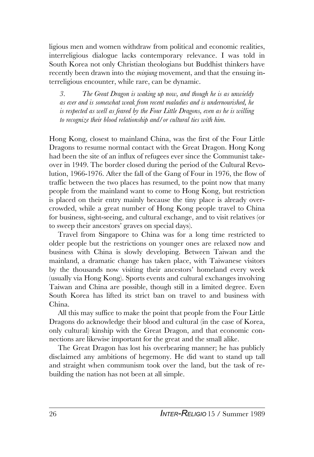ligious men and women withdraw from political and economic realities, interreligious dialogue lacks contemporary relevance. I was told in South Korea not only Christian theologians but Buddhist thinkers have recently been drawn into the *minjung* movement, and that the ensuing interreligious encounter, while rare, can be dynamic.

*3. The Great Dragon is waking up now, and though he is as unwieldy as ever and is somewhat weak from recent maladies and is undernourished, he is respected as well as feared by the Four Little Dragons, even as he is willing to recognize their blood relationship and/or cultural ties with him.*

Hong Kong, closest to mainland China, was the first of the Four Little Dragons to resume normal contact with the Great Dragon. Hong Kong had been the site of an influx of refugees ever since the Communist takeover in 1949. The border closed during the period of the Cultural Revolution, 1966-1976. After the fall of the Gang of Four in 1976, the flow of traffic between the two places has resumed, to the point now that many people from the mainland want to come to Hong Kong, but restriction is placed on their entry mainly because the tiny place is already overcrowded, while a great number of Hong Kong people travel to China for business, sight-seeing, and cultural exchange, and to visit relatives (or to sweep their ancestors' graves on special days).

Travel from Singapore to China was for a long time restricted to older people but the restrictions on younger ones are relaxed now and business with China is slowly developing. Between Taiwan and the mainland, a dramatic change has taken place, with Taiwanese visitors by the thousands now visiting their ancestors' homeland every week (usually via Hong Kong). Sports events and cultural exchanges involving Taiwan and China are possible, though still in a limited degree. Even South Korea has lifted its strict ban on travel to and business with China.

All this may suffice to make the point that people from the Four Little Dragons do acknowledge their blood and cultural (in the case of Korea, only cultural) kinship with the Great Dragon, and that economic connections are likewise important for the great and the small alike.

The Great Dragon has lost his overbearing manner; he has publicly disclaimed any ambitions of hegemony. He did want to stand up tall and straight when communism took over the land, but the task of rebuilding the nation has not been at all simple.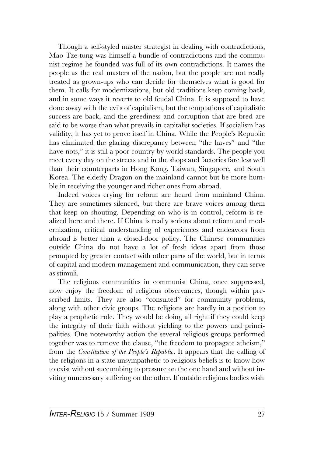Though a self-styled master strategist in dealing with contradictions, Mao Tze-tung was himself a bundle of contradictions and the communist regime he founded was full of its own contradictions. It names the people as the real masters of the nation, but the people are not really treated as grown-ups who can decide for themselves what is good for them. It calls for modernizations, but old traditions keep coming back, and in some ways it reverts to old feudal China. It is supposed to have done away with the evils of capitalism, but the temptations of capitalistic success are back, and the greediness and corruption that are bred are said to be worse than what prevails in capitalist societies. If socialism has validity, it has yet to prove itself in China. While the People's Republic has eliminated the glaring discrepancy between "the haves" and "the have-nots," it is still a poor country by world standards. The people you meet every day on the streets and in the shops and factories fare less well than their counterparts in Hong Kong, Taiwan, Singapore, and South Korea. The elderly Dragon on the mainland cannot but be more humble in receiving the younger and richer ones from abroad.

Indeed voices crying for reform are heard from mainland China. They are sometimes silenced, but there are brave voices among them that keep on shouting. Depending on who is in control, reform is realized here and there. If China is really serious about reform and modernization, critical understanding of experiences and endeavors from abroad is better than a closed-door policy. The Chinese communities outside China do not have a lot of fresh ideas apart from those prompted by greater contact with other parts of the world, but in terms of capital and modern management and communication, they can serve as stimuli.

The religious communities in communist China, once suppressed, now enjoy the freedom of religious observances, though within prescribed limits. They are also "consulted" for community problems, along with other civic groups. The religions are hardly in a position to play a prophetic role. They would be doing all right if they could keep the integrity of their faith without yielding to the powers and principalities. One noteworthy action the several religious groups performed together was to remove the clause, "the freedom to propagate atheism," from the *Constitution of the People's Republic*. It appears that the calling of the religions in a state unsympathetic to religious beliefs is to know how to exist without succumbing to pressure on the one hand and without inviting unnecessary suffering on the other. If outside religious bodies wish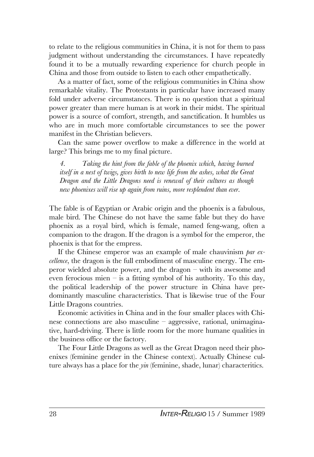to relate to the religious communities in China, it is not for them to pass judgment without understanding the circumstances. I have repeatedly found it to be a mutually rewarding experience for church people in China and those from outside to listen to each other empathetically.

As a matter of fact, some of the religious communities in China show remarkable vitality. The Protestants in particular have increased many fold under adverse circumstances. There is no question that a spiritual power greater than mere human is at work in their midst. The spiritual power is a source of comfort, strength, and sanctification. It humbles us who are in much more comfortable circumstances to see the power manifest in the Christian believers.

Can the same power overflow to make a difference in the world at large? This brings me to my final picture.

*4. Taking the hint from the fable of the phoenix which, having burned itself in a nest of twigs, gives birth to new life from the ashes, what the Great Dragon and the Little Dragons need is renewal of their cultures as though new phoenixes will rise up again from ruins, more resplendent than ever.*

The fable is of Egyptian or Arabic origin and the phoenix is a fabulous, male bird. The Chinese do not have the same fable but they do have phoenix as a royal bird, which is female, named feng-wang, often a companion to the dragon. If the dragon is a symbol for the emperor, the phoenix is that for the empress.

If the Chinese emperor was an example of male chauvinism *par excellence*, the dragon is the full embodiment of masculine energy. The emperor wielded absolute power, and the dragon – with its awesome and even ferocious mien – is a fitting symbol of his authority. To this day, the political leadership of the power structure in China have predominantly masculine characteristics. That is likewise true of the Four Little Dragons countries.

Economic activities in China and in the four smaller places with Chinese connections are also masculine – aggressive, rational, unimaginative, hard-driving. There is little room for the more humane qualities in the business office or the factory.

The Four Little Dragons as well as the Great Dragon need their phoenixes (feminine gender in the Chinese context). Actually Chinese culture always has a place for the *yin* (feminine, shade, lunar) characteritics.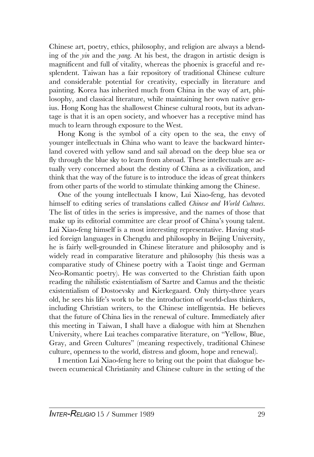Chinese art, poetry, ethics, philosophy, and religion are always a blending of the *yin* and the *yang*. At his best, the dragon in artistic design is magnificent and full of vitality, whereas the phoenix is graceful and resplendent. Taiwan has a fair repository of traditional Chinese culture and considerable potential for creativity, especially in literature and painting. Korea has inherited much from China in the way of art, philosophy, and classical literature, while maintaining her own native genius. Hong Kong has the shallowest Chinese cultural roots, but its advantage is that it is an open society, and whoever has a receptive mind has much to learn through exposure to the West.

Hong Kong is the symbol of a city open to the sea, the envy of younger intellectuals in China who want to leave the backward hinterland covered with yellow sand and sail abroad on the deep blue sea or fly through the blue sky to learn from abroad. These intellectuals are actually very concerned about the destiny of China as a civilization, and think that the way of the future is to introduce the ideas of great thinkers from other parts of the world to stimulate thinking among the Chinese.

One of the young intellectuals I know, Lui Xiao-feng, has devoted himself to editing series of translations called *Chinese and World Cultures*. The list of titles in the series is impressive, and the names of those that make up its editorial committee are clear proof of China's young talent. Lui Xiao-feng himself is a most interesting representative. Having studied foreign languages in Chengdu and philosophy in Beijing University, he is fairly well-grounded in Chinese literature and philosophy and is widely read in comparative literature and philosophy (his thesis was a comparative study of Chinese poetry with a Taoist tinge and German Neo-Romantic poetry). He was converted to the Christian faith upon reading the nihilistic existentialism of Sartre and Camus and the theistic existentialism of Dostoevsky and Kierkegaard. Only thirty-three years old, he sees his life's work to be the introduction of world-class thinkers, including Christian writers, to the Chinese intelligentsia. He believes that the future of China lies in the renewal of culture. Immediately after this meeting in Taiwan, I shall have a dialogue with him at Shenzhen University, where Lui teaches comparative literature, on "Yellow, Blue, Gray, and Green Cultures" (meaning respectively, traditional Chinese culture, openness to the world, distress and gloom, hope and renewal).

I mention Lui Xiao-feng here to bring out the point that dialogue between ecumenical Christianity and Chinese culture in the setting of the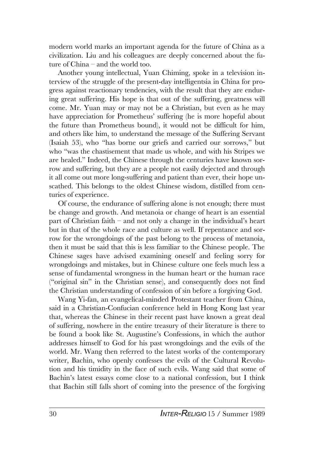modern world marks an important agenda for the future of China as a civilization. Liu and his colleagues are deeply concerned about the future of China – and the world too.

Another young intellectual, Yuan Chiming, spoke in a television interview of the struggle of the present-day intelligentsia in China for progress against reactionary tendencies, with the result that they are enduring great suffering. His hope is that out of the suffering, greatness will come. Mr. Yuan may or may not be a Christian, but even as he may have appreciation for Prometheus' suffering (he is more hopeful about the future than Prometheus bound), it would not be difficult for him, and others like him, to understand the message of the Suffering Servant (Isaiah 53), who "has borne our griefs and carried our sorrows," but who "was the chastisement that made us whole, and with his Stripes we are healed." Indeed, the Chinese through the centuries have known sorrow and suffering, but they are a people not easily dejected and through it all come out more long-suffering and patient than ever, their hope unscathed. This belongs to the oldest Chinese wisdom, distilled from centuries of experience.

Of course, the endurance of suffering alone is not enough; there must be change and growth. And metanoia or change of heart is an essential part of Christian faith – and not only a change in the individual's heart but in that of the whole race and culture as well. If repentance and sorrow for the wrongdoings of the past belong to the process of metanoia, then it must be said that this is less familiar to the Chinese people. The Chinese sages have advised examining oneself and feeling sorry for wrongdoings and mistakes, but in Chinese culture one feels much less a sense of fundamental wrongness in the human heart or the human race ("original sin" in the Christian sense), and consequently does not find the Christian understanding of confession of sin before a forgiving God.

Wang Yi-fan, an evangelical-minded Protestant teacher from China, said in a Christian-Confucian conference held in Hong Kong last year that, whereas the Chinese in their recent past have known a great deal of suffering, nowhere in the entire treasury of their literature is there to be found a book like St. Augustine's Confessions, in which the author addresses himself to God for his past wrongdoings and the evils of the world. Mr. Wang then referred to the latest works of the contemporary writer, Bachin, who openly confesses the evils of the Cultural Revolution and his timidity in the face of such evils. Wang said that some of Bachin's latest essays come close to a national confession, but I think that Bachin still falls short of coming into the presence of the forgiving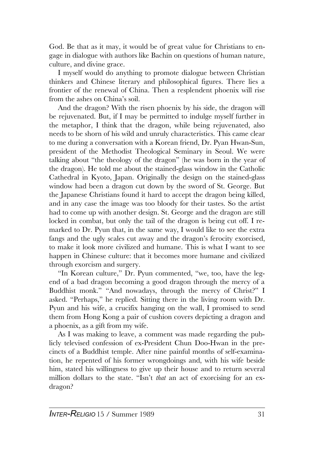God. Be that as it may, it would be of great value for Christians to engage in dialogue with authors like Bachin on questions of human nature, culture, and divine grace.

I myself would do anything to promote dialogue between Christian thinkers and Chinese literary and philosophical figures. There lies a frontier of the renewal of China. Then a resplendent phoenix will rise from the ashes on China's soil.

And the dragon? With the risen phoenix by his side, the dragon will be rejuvenated. But, if I may be permitted to indulge myself further in the metaphor, I think that the dragon, while being rejuvenated, also needs to be shorn of his wild and unruly characteristics. This came clear to me during a conversation with a Korean friend, Dr. Pyan Hwan-Sun, president of the Methodist Theological Seminary in Seoul. We were talking about "the theology of the dragon" (he was born in the year of the dragon). He told me about the stained-glass window in the Catholic Cathedral in Kyoto, Japan. Originally the design on the stained-glass window had been a dragon cut down by the sword of St. George. But the Japanese Christians found it hard to accept the dragon being killed, and in any case the image was too bloody for their tastes. So the artist had to come up with another design. St. George and the dragon are still locked in combat, but only the tail of the dragon is being cut off. I remarked to Dr. Pyun that, in the same way, I would like to see the extra fangs and the ugly scales cut away and the dragon's ferocity exorcised, to make it look more civilized and humane. This is what I want to see happen in Chinese culture: that it becomes more humane and civilized through exorcism and surgery.

"In Korean culture," Dr. Pyun commented, "we, too, have the legend of a bad dragon becoming a good dragon through the mercy of a Buddhist monk." "And nowadays, through the mercy of Christ?" I asked. "Perhaps," he replied. Sitting there in the living room with Dr. Pyun and his wife, a crucifix hanging on the wall, I promised to send them from Hong Kong a pair of cushion covers depicting a dragon and a phoenix, as a gift from my wife.

As I was making to leave, a comment was made regarding the publicly televised confession of ex-President Chun Doo-Hwan in the precincts of a Buddhist temple. After nine painful months of self-examination, he repented of his former wrongdoings and, with his wife beside him, stated his willingness to give up their house and to return several million dollars to the state. "Isn't *that* an act of exorcising for an exdragon?